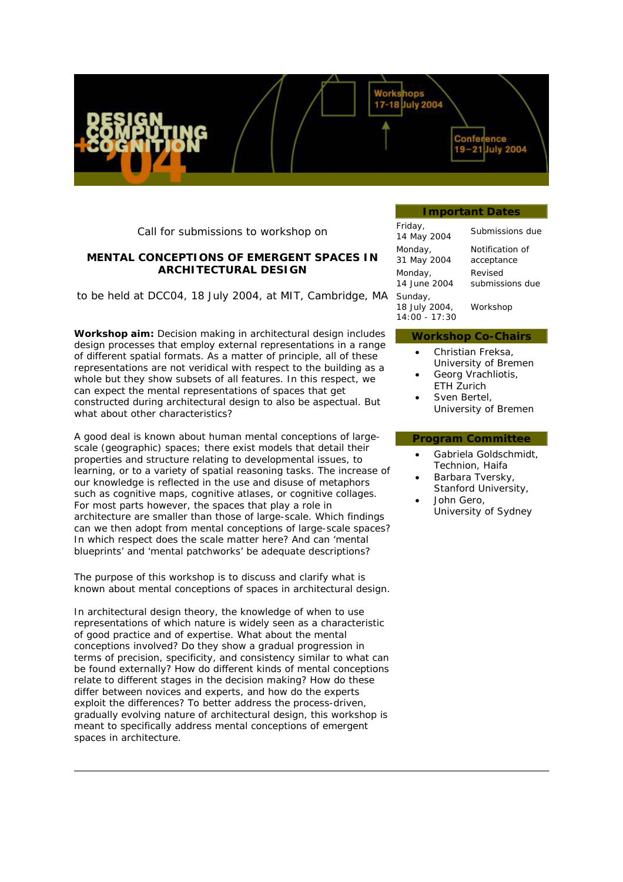Call for submissions to workshop on

# **MENTAL CONCEPTIONS OF EMERGENT SPACES IN ARCHITECTURAL DESIGN**

to be held at DCC04, 18 July 2004, at MIT, Cambridge, MA

*Workshop aim:* Decision making in architectural design includes design processes that employ external representations in a range of different spatial formats. As a matter of principle, all of these representations are not veridical with respect to the building as a whole but they show subsets of all features. In this respect, we can expect the mental representations of spaces that get constructed during architectural design to also be *aspectual*. But what about other characteristics?

A good deal is known about human mental conceptions of *largescale* (geographic) spaces; there exist models that detail their properties and structure relating to developmental issues, to learning, or to a variety of spatial reasoning tasks. The increase of our knowledge is reflected in the use and disuse of metaphors such as cognitive maps, cognitive atlases, or cognitive collages. For most parts however, the spaces that play a role in architecture are smaller than those of large-scale. Which findings can we then adopt from mental conceptions of large-scale spaces? In which respect does the scale matter here? And can 'mental blueprints' and 'mental patchworks' be adequate descriptions?

The purpose of this workshop is to discuss and clarify what is known about mental conceptions of spaces in architectural design.

In architectural design theory, the knowledge of when to use representations of which nature is widely seen as a characteristic of good practice and of expertise. What about the mental conceptions involved? Do they show a gradual progression in terms of precision, specificity, and consistency similar to what can be found externally? How do different kinds of mental conceptions relate to different stages in the decision making? How do these differ between novices and experts, and how do the experts exploit the differences? To better address the process-driven, gradually evolving nature of architectural design, this workshop is meant to specifically address mental conceptions of *emergent* spaces in architecture.

#### **Important Dates**

Confe

mee 19-21 July 2004

17-18 July 2004

| Friday,<br>14 May 2004                      | Submissions due |
|---------------------------------------------|-----------------|
| Monday,                                     | Notification of |
| 31 May 2004                                 | acceptance      |
| Monday,                                     | Revised         |
| 14 June 2004                                | submissions due |
| Sunday,<br>18 July 2004,<br>$14:00 - 17:30$ | Workshop        |

#### **Workshop Co-Chairs**

- Christian Freksa, University of Bremen
- Georg Vrachliotis, ETH Zurich
- Sven Bertel. University of Bremen

## **Program Committee**

- Gabriela Goldschmidt, Technion, Haifa
- Barbara Tversky, Stanford University,
- John Gero, University of Sydney